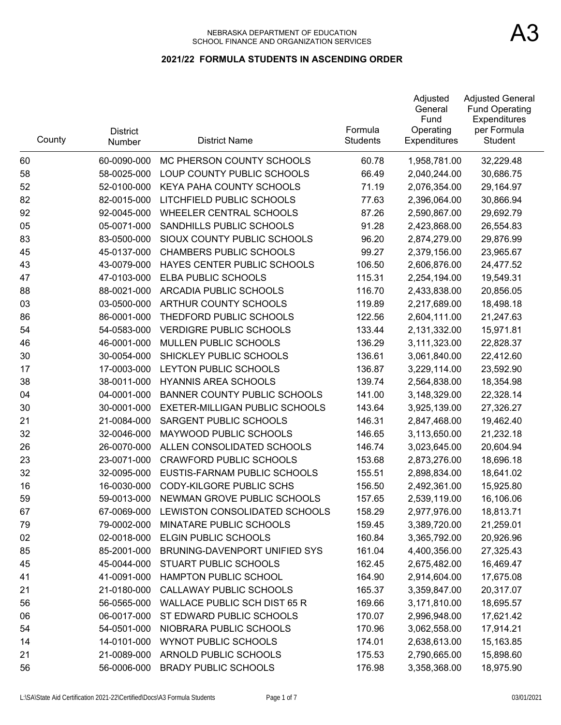| County | <b>District</b><br>Number | <b>District Name</b>                | Formula<br><b>Students</b> | Adjusted<br>General<br>Fund<br>Operating<br><b>Expenditures</b> | <b>Adjusted General</b><br><b>Fund Operating</b><br>Expenditures<br>per Formula<br><b>Student</b> |
|--------|---------------------------|-------------------------------------|----------------------------|-----------------------------------------------------------------|---------------------------------------------------------------------------------------------------|
| 60     | 60-0090-000               | MC PHERSON COUNTY SCHOOLS           | 60.78                      | 1,958,781.00                                                    | 32,229.48                                                                                         |
| 58     | 58-0025-000               | LOUP COUNTY PUBLIC SCHOOLS          | 66.49                      | 2,040,244.00                                                    | 30,686.75                                                                                         |
| 52     | 52-0100-000               | <b>KEYA PAHA COUNTY SCHOOLS</b>     | 71.19                      | 2,076,354.00                                                    | 29,164.97                                                                                         |
| 82     | 82-0015-000               | LITCHFIELD PUBLIC SCHOOLS           | 77.63                      | 2,396,064.00                                                    | 30,866.94                                                                                         |
| 92     | 92-0045-000               | <b>WHEELER CENTRAL SCHOOLS</b>      | 87.26                      | 2,590,867.00                                                    | 29,692.79                                                                                         |
| 05     | 05-0071-000               | SANDHILLS PUBLIC SCHOOLS            | 91.28                      | 2,423,868.00                                                    | 26,554.83                                                                                         |
| 83     | 83-0500-000               | SIOUX COUNTY PUBLIC SCHOOLS         | 96.20                      | 2,874,279.00                                                    | 29,876.99                                                                                         |
| 45     | 45-0137-000               | <b>CHAMBERS PUBLIC SCHOOLS</b>      | 99.27                      | 2,379,156.00                                                    | 23,965.67                                                                                         |
| 43     | 43-0079-000               | HAYES CENTER PUBLIC SCHOOLS         | 106.50                     | 2,606,876.00                                                    | 24,477.52                                                                                         |
| 47     | 47-0103-000               | <b>ELBA PUBLIC SCHOOLS</b>          | 115.31                     | 2,254,194.00                                                    | 19,549.31                                                                                         |
| 88     | 88-0021-000               | ARCADIA PUBLIC SCHOOLS              | 116.70                     | 2,433,838.00                                                    | 20,856.05                                                                                         |
| 03     | 03-0500-000               | ARTHUR COUNTY SCHOOLS               | 119.89                     | 2,217,689.00                                                    | 18,498.18                                                                                         |
| 86     | 86-0001-000               | THEDFORD PUBLIC SCHOOLS             | 122.56                     | 2,604,111.00                                                    | 21,247.63                                                                                         |
| 54     | 54-0583-000               | <b>VERDIGRE PUBLIC SCHOOLS</b>      | 133.44                     | 2,131,332.00                                                    | 15,971.81                                                                                         |
| 46     | 46-0001-000               | <b>MULLEN PUBLIC SCHOOLS</b>        | 136.29                     | 3,111,323.00                                                    | 22,828.37                                                                                         |
| 30     | 30-0054-000               | SHICKLEY PUBLIC SCHOOLS             | 136.61                     | 3,061,840.00                                                    | 22,412.60                                                                                         |
| 17     | 17-0003-000               | LEYTON PUBLIC SCHOOLS               | 136.87                     | 3,229,114.00                                                    | 23,592.90                                                                                         |
| 38     | 38-0011-000               | <b>HYANNIS AREA SCHOOLS</b>         | 139.74                     | 2,564,838.00                                                    | 18,354.98                                                                                         |
| 04     | 04-0001-000               | <b>BANNER COUNTY PUBLIC SCHOOLS</b> | 141.00                     | 3,148,329.00                                                    | 22,328.14                                                                                         |
| 30     | 30-0001-000               | EXETER-MILLIGAN PUBLIC SCHOOLS      | 143.64                     | 3,925,139.00                                                    | 27,326.27                                                                                         |
| 21     | 21-0084-000               | SARGENT PUBLIC SCHOOLS              | 146.31                     | 2,847,468.00                                                    | 19,462.40                                                                                         |
| 32     | 32-0046-000               | MAYWOOD PUBLIC SCHOOLS              | 146.65                     | 3,113,650.00                                                    | 21,232.18                                                                                         |
| 26     | 26-0070-000               | ALLEN CONSOLIDATED SCHOOLS          | 146.74                     | 3,023,645.00                                                    | 20,604.94                                                                                         |
| 23     | 23-0071-000               | <b>CRAWFORD PUBLIC SCHOOLS</b>      | 153.68                     | 2,873,276.00                                                    | 18,696.18                                                                                         |
| 32     | 32-0095-000               | EUSTIS-FARNAM PUBLIC SCHOOLS        | 155.51                     | 2,898,834.00                                                    | 18,641.02                                                                                         |
| 16     | 16-0030-000               | <b>CODY-KILGORE PUBLIC SCHS</b>     | 156.50                     | 2,492,361.00                                                    | 15,925.80                                                                                         |
| 59     | 59-0013-000               | NEWMAN GROVE PUBLIC SCHOOLS         | 157.65                     | 2,539,119.00                                                    | 16,106.06                                                                                         |
| 67     | 67-0069-000               | LEWISTON CONSOLIDATED SCHOOLS       | 158.29                     | 2,977,976.00                                                    | 18,813.71                                                                                         |
| 79     | 79-0002-000               | MINATARE PUBLIC SCHOOLS             | 159.45                     | 3,389,720.00                                                    | 21,259.01                                                                                         |
| 02     | 02-0018-000               | ELGIN PUBLIC SCHOOLS                | 160.84                     | 3,365,792.00                                                    | 20,926.96                                                                                         |
| 85     | 85-2001-000               | BRUNING-DAVENPORT UNIFIED SYS       | 161.04                     | 4,400,356.00                                                    | 27,325.43                                                                                         |
| 45     | 45-0044-000               | STUART PUBLIC SCHOOLS               | 162.45                     | 2,675,482.00                                                    | 16,469.47                                                                                         |
| 41     | 41-0091-000               | <b>HAMPTON PUBLIC SCHOOL</b>        | 164.90                     | 2,914,604.00                                                    | 17,675.08                                                                                         |
| 21     | 21-0180-000               | CALLAWAY PUBLIC SCHOOLS             | 165.37                     | 3,359,847.00                                                    | 20,317.07                                                                                         |
| 56     | 56-0565-000               | <b>WALLACE PUBLIC SCH DIST 65 R</b> | 169.66                     | 3,171,810.00                                                    | 18,695.57                                                                                         |
| 06     | 06-0017-000               | ST EDWARD PUBLIC SCHOOLS            | 170.07                     | 2,996,948.00                                                    | 17,621.42                                                                                         |
| 54     | 54-0501-000               | NIOBRARA PUBLIC SCHOOLS             | 170.96                     | 3,062,558.00                                                    | 17,914.21                                                                                         |
| 14     | 14-0101-000               | <b>WYNOT PUBLIC SCHOOLS</b>         | 174.01                     | 2,638,613.00                                                    | 15,163.85                                                                                         |
| 21     | 21-0089-000               | ARNOLD PUBLIC SCHOOLS               | 175.53                     | 2,790,665.00                                                    | 15,898.60                                                                                         |
| 56     | 56-0006-000               | <b>BRADY PUBLIC SCHOOLS</b>         | 176.98                     | 3,358,368.00                                                    | 18,975.90                                                                                         |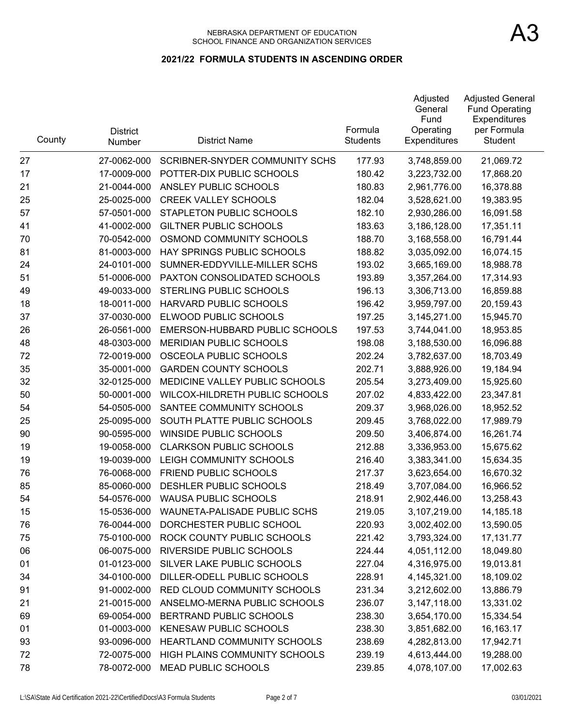#### NEBRASKA DEPARTMENT OF EDUCATION SCHOOL FINANCE AND ORGANIZATION SERVICES

| County | <b>District</b><br><b>Number</b> | <b>District Name</b>                  | Formula<br><b>Students</b> | Adjusted<br>General<br>Fund<br>Operating<br><b>Expenditures</b> | <b>Adjusted General</b><br><b>Fund Operating</b><br>Expenditures<br>per Formula<br>Student |
|--------|----------------------------------|---------------------------------------|----------------------------|-----------------------------------------------------------------|--------------------------------------------------------------------------------------------|
| 27     | 27-0062-000                      | <b>SCRIBNER-SNYDER COMMUNITY SCHS</b> | 177.93                     | 3,748,859.00                                                    | 21,069.72                                                                                  |
| 17     | 17-0009-000                      | POTTER-DIX PUBLIC SCHOOLS             | 180.42                     | 3,223,732.00                                                    | 17,868.20                                                                                  |
| 21     | 21-0044-000                      | ANSLEY PUBLIC SCHOOLS                 | 180.83                     | 2,961,776.00                                                    | 16,378.88                                                                                  |
| 25     | 25-0025-000                      | <b>CREEK VALLEY SCHOOLS</b>           | 182.04                     | 3,528,621.00                                                    | 19,383.95                                                                                  |
| 57     | 57-0501-000                      | STAPLETON PUBLIC SCHOOLS              | 182.10                     | 2,930,286.00                                                    | 16,091.58                                                                                  |
| 41     | 41-0002-000                      | <b>GILTNER PUBLIC SCHOOLS</b>         | 183.63                     | 3,186,128.00                                                    | 17,351.11                                                                                  |
| 70     | 70-0542-000                      | OSMOND COMMUNITY SCHOOLS              | 188.70                     | 3,168,558.00                                                    | 16,791.44                                                                                  |
| 81     | 81-0003-000                      | HAY SPRINGS PUBLIC SCHOOLS            | 188.82                     | 3,035,092.00                                                    | 16,074.15                                                                                  |
| 24     | 24-0101-000                      | SUMNER-EDDYVILLE-MILLER SCHS          | 193.02                     | 3,665,169.00                                                    | 18,988.78                                                                                  |
| 51     | 51-0006-000                      | PAXTON CONSOLIDATED SCHOOLS           | 193.89                     | 3,357,264.00                                                    | 17,314.93                                                                                  |
| 49     | 49-0033-000                      | STERLING PUBLIC SCHOOLS               | 196.13                     | 3,306,713.00                                                    | 16,859.88                                                                                  |
| 18     | 18-0011-000                      | HARVARD PUBLIC SCHOOLS                | 196.42                     | 3,959,797.00                                                    | 20,159.43                                                                                  |
| 37     | 37-0030-000                      | ELWOOD PUBLIC SCHOOLS                 | 197.25                     | 3,145,271.00                                                    | 15,945.70                                                                                  |
| 26     | 26-0561-000                      | EMERSON-HUBBARD PUBLIC SCHOOLS        | 197.53                     | 3,744,041.00                                                    | 18,953.85                                                                                  |
| 48     | 48-0303-000                      | <b>MERIDIAN PUBLIC SCHOOLS</b>        | 198.08                     | 3,188,530.00                                                    | 16,096.88                                                                                  |
| 72     | 72-0019-000                      | OSCEOLA PUBLIC SCHOOLS                | 202.24                     | 3,782,637.00                                                    | 18,703.49                                                                                  |
| 35     | 35-0001-000                      | <b>GARDEN COUNTY SCHOOLS</b>          | 202.71                     | 3,888,926.00                                                    | 19,184.94                                                                                  |
| 32     | 32-0125-000                      | MEDICINE VALLEY PUBLIC SCHOOLS        | 205.54                     | 3,273,409.00                                                    | 15,925.60                                                                                  |
| 50     | 50-0001-000                      | WILCOX-HILDRETH PUBLIC SCHOOLS        | 207.02                     | 4,833,422.00                                                    | 23,347.81                                                                                  |
| 54     | 54-0505-000                      | SANTEE COMMUNITY SCHOOLS              | 209.37                     | 3,968,026.00                                                    | 18,952.52                                                                                  |
| 25     | 25-0095-000                      | SOUTH PLATTE PUBLIC SCHOOLS           | 209.45                     | 3,768,022.00                                                    | 17,989.79                                                                                  |
| 90     | 90-0595-000                      | <b>WINSIDE PUBLIC SCHOOLS</b>         | 209.50                     | 3,406,874.00                                                    | 16,261.74                                                                                  |
| 19     | 19-0058-000                      | <b>CLARKSON PUBLIC SCHOOLS</b>        | 212.88                     | 3,336,953.00                                                    | 15,675.62                                                                                  |
| 19     | 19-0039-000                      | LEIGH COMMUNITY SCHOOLS               | 216.40                     | 3,383,341.00                                                    | 15,634.35                                                                                  |
| 76     | 76-0068-000                      | FRIEND PUBLIC SCHOOLS                 | 217.37                     | 3,623,654.00                                                    | 16,670.32                                                                                  |
| 85     | 85-0060-000                      | DESHLER PUBLIC SCHOOLS                | 218.49                     | 3,707,084.00                                                    | 16,966.52                                                                                  |
| 54     | 54-0576-000                      | <b>WAUSA PUBLIC SCHOOLS</b>           | 218.91                     | 2,902,446.00                                                    | 13,258.43                                                                                  |
| 15     | 15-0536-000                      | WAUNETA-PALISADE PUBLIC SCHS          | 219.05                     | 3,107,219.00                                                    | 14,185.18                                                                                  |
| 76     | 76-0044-000                      | DORCHESTER PUBLIC SCHOOL              | 220.93                     | 3,002,402.00                                                    | 13,590.05                                                                                  |
| 75     | 75-0100-000                      | ROCK COUNTY PUBLIC SCHOOLS            | 221.42                     | 3,793,324.00                                                    | 17,131.77                                                                                  |
| 06     | 06-0075-000                      | RIVERSIDE PUBLIC SCHOOLS              | 224.44                     | 4,051,112.00                                                    | 18,049.80                                                                                  |
| 01     | 01-0123-000                      | SILVER LAKE PUBLIC SCHOOLS            | 227.04                     | 4,316,975.00                                                    | 19,013.81                                                                                  |
| 34     | 34-0100-000                      | DILLER-ODELL PUBLIC SCHOOLS           | 228.91                     | 4,145,321.00                                                    | 18,109.02                                                                                  |
| 91     | 91-0002-000                      | RED CLOUD COMMUNITY SCHOOLS           | 231.34                     | 3,212,602.00                                                    | 13,886.79                                                                                  |
| 21     | 21-0015-000                      | ANSELMO-MERNA PUBLIC SCHOOLS          | 236.07                     | 3,147,118.00                                                    | 13,331.02                                                                                  |
| 69     | 69-0054-000                      | BERTRAND PUBLIC SCHOOLS               | 238.30                     | 3,654,170.00                                                    | 15,334.54                                                                                  |
| 01     | 01-0003-000                      | <b>KENESAW PUBLIC SCHOOLS</b>         | 238.30                     | 3,851,682.00                                                    | 16,163.17                                                                                  |
| 93     | 93-0096-000                      | HEARTLAND COMMUNITY SCHOOLS           | 238.69                     | 4,282,813.00                                                    | 17,942.71                                                                                  |
| 72     | 72-0075-000                      | HIGH PLAINS COMMUNITY SCHOOLS         | 239.19                     | 4,613,444.00                                                    | 19,288.00                                                                                  |
| 78     | 78-0072-000                      | <b>MEAD PUBLIC SCHOOLS</b>            | 239.85                     | 4,078,107.00                                                    | 17,002.63                                                                                  |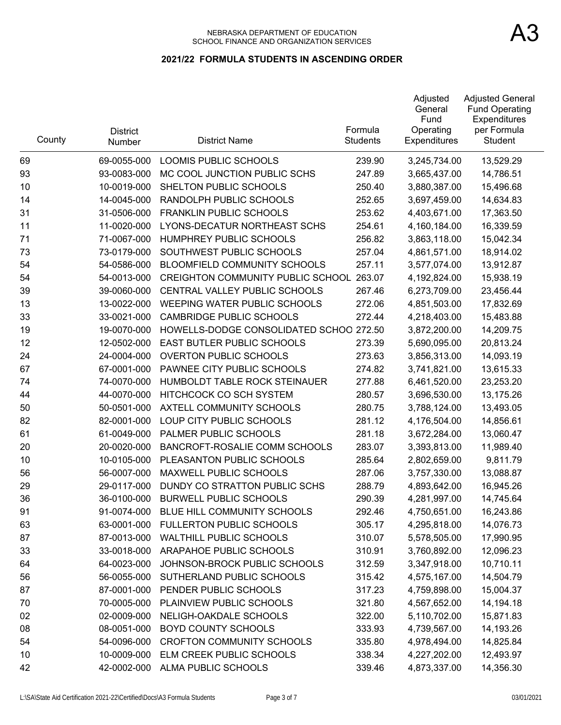| County | <b>District</b><br>Number | <b>District Name</b>                     | Formula<br><b>Students</b> | Adjusted<br>General<br>Fund<br>Operating<br><b>Expenditures</b> | <b>Adjusted General</b><br><b>Fund Operating</b><br>Expenditures<br>per Formula<br>Student |
|--------|---------------------------|------------------------------------------|----------------------------|-----------------------------------------------------------------|--------------------------------------------------------------------------------------------|
| 69     | 69-0055-000               | LOOMIS PUBLIC SCHOOLS                    | 239.90                     | 3,245,734.00                                                    | 13,529.29                                                                                  |
| 93     | 93-0083-000               | MC COOL JUNCTION PUBLIC SCHS             | 247.89                     | 3,665,437.00                                                    | 14,786.51                                                                                  |
| 10     | 10-0019-000               | SHELTON PUBLIC SCHOOLS                   | 250.40                     | 3,880,387.00                                                    | 15,496.68                                                                                  |
| 14     | 14-0045-000               | RANDOLPH PUBLIC SCHOOLS                  | 252.65                     | 3,697,459.00                                                    | 14,634.83                                                                                  |
| 31     | 31-0506-000               | <b>FRANKLIN PUBLIC SCHOOLS</b>           | 253.62                     | 4,403,671.00                                                    | 17,363.50                                                                                  |
| 11     | 11-0020-000               | LYONS-DECATUR NORTHEAST SCHS             | 254.61                     | 4,160,184.00                                                    | 16,339.59                                                                                  |
| 71     | 71-0067-000               | HUMPHREY PUBLIC SCHOOLS                  | 256.82                     | 3,863,118.00                                                    | 15,042.34                                                                                  |
| 73     | 73-0179-000               | SOUTHWEST PUBLIC SCHOOLS                 | 257.04                     | 4,861,571.00                                                    | 18,914.02                                                                                  |
| 54     | 54-0586-000               | <b>BLOOMFIELD COMMUNITY SCHOOLS</b>      | 257.11                     | 3,577,074.00                                                    | 13,912.87                                                                                  |
| 54     | 54-0013-000               | <b>CREIGHTON COMMUNITY PUBLIC SCHOOL</b> | 263.07                     | 4,192,824.00                                                    | 15,938.19                                                                                  |
| 39     | 39-0060-000               | CENTRAL VALLEY PUBLIC SCHOOLS            | 267.46                     | 6,273,709.00                                                    | 23,456.44                                                                                  |
| 13     | 13-0022-000               | WEEPING WATER PUBLIC SCHOOLS             | 272.06                     | 4,851,503.00                                                    | 17,832.69                                                                                  |
| 33     | 33-0021-000               | <b>CAMBRIDGE PUBLIC SCHOOLS</b>          | 272.44                     | 4,218,403.00                                                    | 15,483.88                                                                                  |
| 19     | 19-0070-000               | HOWELLS-DODGE CONSOLIDATED SCHOO 272.50  |                            | 3,872,200.00                                                    | 14,209.75                                                                                  |
| 12     | 12-0502-000               | EAST BUTLER PUBLIC SCHOOLS               | 273.39                     | 5,690,095.00                                                    | 20,813.24                                                                                  |
| 24     | 24-0004-000               | <b>OVERTON PUBLIC SCHOOLS</b>            | 273.63                     | 3,856,313.00                                                    | 14,093.19                                                                                  |
| 67     | 67-0001-000               | PAWNEE CITY PUBLIC SCHOOLS               | 274.82                     | 3,741,821.00                                                    | 13,615.33                                                                                  |
| 74     | 74-0070-000               | HUMBOLDT TABLE ROCK STEINAUER            | 277.88                     | 6,461,520.00                                                    | 23,253.20                                                                                  |
| 44     | 44-0070-000               | HITCHCOCK CO SCH SYSTEM                  | 280.57                     | 3,696,530.00                                                    | 13,175.26                                                                                  |
| 50     | 50-0501-000               | AXTELL COMMUNITY SCHOOLS                 | 280.75                     | 3,788,124.00                                                    | 13,493.05                                                                                  |
| 82     | 82-0001-000               | LOUP CITY PUBLIC SCHOOLS                 | 281.12                     | 4,176,504.00                                                    | 14,856.61                                                                                  |
| 61     | 61-0049-000               | PALMER PUBLIC SCHOOLS                    | 281.18                     | 3,672,284.00                                                    | 13,060.47                                                                                  |
| 20     | 20-0020-000               | BANCROFT-ROSALIE COMM SCHOOLS            | 283.07                     | 3,393,813.00                                                    | 11,989.40                                                                                  |
| 10     | 10-0105-000               | PLEASANTON PUBLIC SCHOOLS                | 285.64                     | 2,802,659.00                                                    | 9,811.79                                                                                   |
| 56     | 56-0007-000               | MAXWELL PUBLIC SCHOOLS                   | 287.06                     | 3,757,330.00                                                    | 13,088.87                                                                                  |
| 29     | 29-0117-000               | DUNDY CO STRATTON PUBLIC SCHS            | 288.79                     | 4,893,642.00                                                    | 16,945.26                                                                                  |
| 36     | 36-0100-000               | <b>BURWELL PUBLIC SCHOOLS</b>            | 290.39                     | 4,281,997.00                                                    | 14,745.64                                                                                  |
| 91     | 91-0074-000               | BLUE HILL COMMUNITY SCHOOLS              | 292.46                     | 4,750,651.00                                                    | 16,243.86                                                                                  |
| 63     | 63-0001-000               | FULLERTON PUBLIC SCHOOLS                 | 305.17                     | 4,295,818.00                                                    | 14,076.73                                                                                  |
| 87     | 87-0013-000               | <b>WALTHILL PUBLIC SCHOOLS</b>           | 310.07                     | 5,578,505.00                                                    | 17,990.95                                                                                  |
| 33     | 33-0018-000               | ARAPAHOE PUBLIC SCHOOLS                  | 310.91                     | 3,760,892.00                                                    | 12,096.23                                                                                  |
| 64     | 64-0023-000               | JOHNSON-BROCK PUBLIC SCHOOLS             | 312.59                     | 3,347,918.00                                                    | 10,710.11                                                                                  |
| 56     | 56-0055-000               | SUTHERLAND PUBLIC SCHOOLS                | 315.42                     | 4,575,167.00                                                    | 14,504.79                                                                                  |
| 87     | 87-0001-000               | PENDER PUBLIC SCHOOLS                    | 317.23                     | 4,759,898.00                                                    | 15,004.37                                                                                  |
| 70     | 70-0005-000               | PLAINVIEW PUBLIC SCHOOLS                 | 321.80                     | 4,567,652.00                                                    | 14,194.18                                                                                  |
| 02     | 02-0009-000               | NELIGH-OAKDALE SCHOOLS                   | 322.00                     | 5,110,702.00                                                    | 15,871.83                                                                                  |
| 08     | 08-0051-000               | <b>BOYD COUNTY SCHOOLS</b>               | 333.93                     | 4,739,567.00                                                    | 14,193.26                                                                                  |
| 54     | 54-0096-000               | <b>CROFTON COMMUNITY SCHOOLS</b>         | 335.80                     | 4,978,494.00                                                    | 14,825.84                                                                                  |
| 10     | 10-0009-000               | ELM CREEK PUBLIC SCHOOLS                 | 338.34                     | 4,227,202.00                                                    | 12,493.97                                                                                  |
| 42     | 42-0002-000               | ALMA PUBLIC SCHOOLS                      | 339.46                     | 4,873,337.00                                                    | 14,356.30                                                                                  |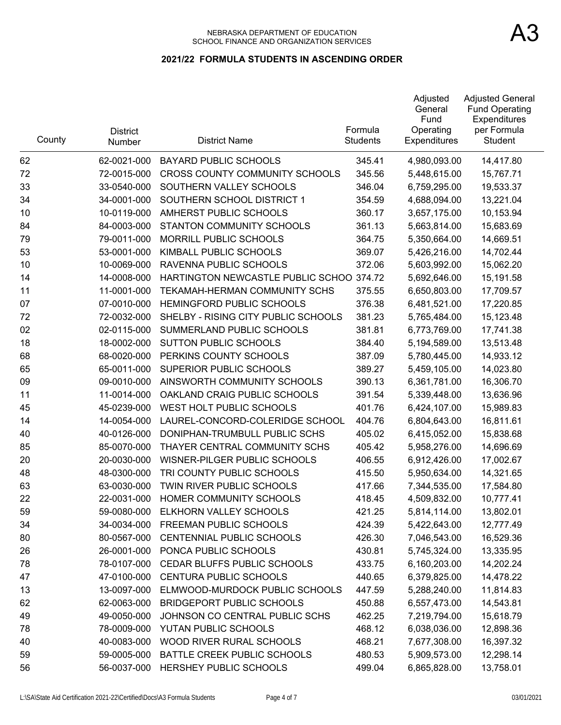| County | <b>District</b><br>Number | <b>District Name</b>                | Formula<br><b>Students</b> | Adjusted<br>General<br>Fund<br>Operating<br><b>Expenditures</b> | <b>Adjusted General</b><br><b>Fund Operating</b><br>Expenditures<br>per Formula<br>Student |
|--------|---------------------------|-------------------------------------|----------------------------|-----------------------------------------------------------------|--------------------------------------------------------------------------------------------|
| 62     | 62-0021-000               | <b>BAYARD PUBLIC SCHOOLS</b>        | 345.41                     | 4,980,093.00                                                    | 14,417.80                                                                                  |
| 72     | 72-0015-000               | CROSS COUNTY COMMUNITY SCHOOLS      | 345.56                     | 5,448,615.00                                                    | 15,767.71                                                                                  |
| 33     | 33-0540-000               | SOUTHERN VALLEY SCHOOLS             | 346.04                     | 6,759,295.00                                                    | 19,533.37                                                                                  |
| 34     | 34-0001-000               | SOUTHERN SCHOOL DISTRICT 1          | 354.59                     | 4,688,094.00                                                    | 13,221.04                                                                                  |
| 10     | 10-0119-000               | AMHERST PUBLIC SCHOOLS              | 360.17                     | 3,657,175.00                                                    | 10,153.94                                                                                  |
| 84     | 84-0003-000               | STANTON COMMUNITY SCHOOLS           | 361.13                     | 5,663,814.00                                                    | 15,683.69                                                                                  |
| 79     | 79-0011-000               | MORRILL PUBLIC SCHOOLS              | 364.75                     | 5,350,664.00                                                    | 14,669.51                                                                                  |
| 53     | 53-0001-000               | KIMBALL PUBLIC SCHOOLS              | 369.07                     | 5,426,216.00                                                    | 14,702.44                                                                                  |
| 10     | 10-0069-000               | RAVENNA PUBLIC SCHOOLS              | 372.06                     | 5,603,992.00                                                    | 15,062.20                                                                                  |
| 14     | 14-0008-000               | HARTINGTON NEWCASTLE PUBLIC SCHOO   | 374.72                     | 5,692,646.00                                                    | 15,191.58                                                                                  |
| 11     | 11-0001-000               | TEKAMAH-HERMAN COMMUNITY SCHS       | 375.55                     | 6,650,803.00                                                    | 17,709.57                                                                                  |
| 07     | 07-0010-000               | <b>HEMINGFORD PUBLIC SCHOOLS</b>    | 376.38                     | 6,481,521.00                                                    | 17,220.85                                                                                  |
| 72     | 72-0032-000               | SHELBY - RISING CITY PUBLIC SCHOOLS | 381.23                     | 5,765,484.00                                                    | 15,123.48                                                                                  |
| 02     | 02-0115-000               | SUMMERLAND PUBLIC SCHOOLS           | 381.81                     | 6,773,769.00                                                    | 17,741.38                                                                                  |
| 18     | 18-0002-000               | <b>SUTTON PUBLIC SCHOOLS</b>        | 384.40                     | 5,194,589.00                                                    | 13,513.48                                                                                  |
| 68     | 68-0020-000               | PERKINS COUNTY SCHOOLS              | 387.09                     | 5,780,445.00                                                    | 14,933.12                                                                                  |
| 65     | 65-0011-000               | SUPERIOR PUBLIC SCHOOLS             | 389.27                     | 5,459,105.00                                                    | 14,023.80                                                                                  |
| 09     | 09-0010-000               | AINSWORTH COMMUNITY SCHOOLS         | 390.13                     | 6,361,781.00                                                    | 16,306.70                                                                                  |
| 11     | 11-0014-000               | OAKLAND CRAIG PUBLIC SCHOOLS        | 391.54                     | 5,339,448.00                                                    | 13,636.96                                                                                  |
| 45     | 45-0239-000               | WEST HOLT PUBLIC SCHOOLS            | 401.76                     | 6,424,107.00                                                    | 15,989.83                                                                                  |
| 14     | 14-0054-000               | LAUREL-CONCORD-COLERIDGE SCHOOL     | 404.76                     | 6,804,643.00                                                    | 16,811.61                                                                                  |
| 40     | 40-0126-000               | DONIPHAN-TRUMBULL PUBLIC SCHS       | 405.02                     | 6,415,052.00                                                    | 15,838.68                                                                                  |
| 85     | 85-0070-000               | THAYER CENTRAL COMMUNITY SCHS       | 405.42                     | 5,958,276.00                                                    | 14,696.69                                                                                  |
| 20     | 20-0030-000               | WISNER-PILGER PUBLIC SCHOOLS        | 406.55                     | 6,912,426.00                                                    | 17,002.67                                                                                  |
| 48     | 48-0300-000               | TRI COUNTY PUBLIC SCHOOLS           | 415.50                     | 5,950,634.00                                                    | 14,321.65                                                                                  |
| 63     | 63-0030-000               | TWIN RIVER PUBLIC SCHOOLS           | 417.66                     | 7,344,535.00                                                    | 17,584.80                                                                                  |
| 22     | 22-0031-000               | HOMER COMMUNITY SCHOOLS             | 418.45                     | 4,509,832.00                                                    | 10,777.41                                                                                  |
| 59     | 59-0080-000               | ELKHORN VALLEY SCHOOLS              | 421.25                     | 5,814,114.00                                                    | 13,802.01                                                                                  |
| 34     | 34-0034-000               | FREEMAN PUBLIC SCHOOLS              | 424.39                     | 5,422,643.00                                                    | 12,777.49                                                                                  |
| 80     | 80-0567-000               | CENTENNIAL PUBLIC SCHOOLS           | 426.30                     | 7,046,543.00                                                    | 16,529.36                                                                                  |
| 26     | 26-0001-000               | PONCA PUBLIC SCHOOLS                | 430.81                     | 5,745,324.00                                                    | 13,335.95                                                                                  |
| 78     | 78-0107-000               | CEDAR BLUFFS PUBLIC SCHOOLS         | 433.75                     | 6,160,203.00                                                    | 14,202.24                                                                                  |
| 47     | 47-0100-000               | <b>CENTURA PUBLIC SCHOOLS</b>       | 440.65                     | 6,379,825.00                                                    | 14,478.22                                                                                  |
| 13     | 13-0097-000               | ELMWOOD-MURDOCK PUBLIC SCHOOLS      | 447.59                     | 5,288,240.00                                                    | 11,814.83                                                                                  |
| 62     | 62-0063-000               | <b>BRIDGEPORT PUBLIC SCHOOLS</b>    | 450.88                     | 6,557,473.00                                                    | 14,543.81                                                                                  |
| 49     | 49-0050-000               | JOHNSON CO CENTRAL PUBLIC SCHS      | 462.25                     | 7,219,794.00                                                    | 15,618.79                                                                                  |
| 78     | 78-0009-000               | YUTAN PUBLIC SCHOOLS                | 468.12                     | 6,038,036.00                                                    | 12,898.36                                                                                  |
| 40     | 40-0083-000               | WOOD RIVER RURAL SCHOOLS            | 468.21                     | 7,677,308.00                                                    | 16,397.32                                                                                  |
| 59     | 59-0005-000               | BATTLE CREEK PUBLIC SCHOOLS         | 480.53                     | 5,909,573.00                                                    | 12,298.14                                                                                  |
| 56     | 56-0037-000               | HERSHEY PUBLIC SCHOOLS              | 499.04                     | 6,865,828.00                                                    | 13,758.01                                                                                  |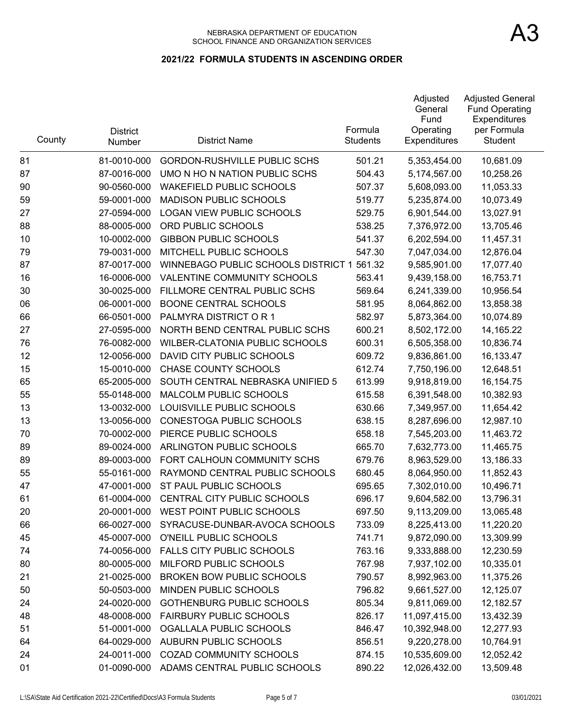| County | <b>District</b><br>Number | <b>District Name</b>                       | Formula<br><b>Students</b> | Adjusted<br>General<br>Fund<br>Operating<br>Expenditures | <b>Adjusted General</b><br><b>Fund Operating</b><br>Expenditures<br>per Formula<br>Student |
|--------|---------------------------|--------------------------------------------|----------------------------|----------------------------------------------------------|--------------------------------------------------------------------------------------------|
| 81     | 81-0010-000               | <b>GORDON-RUSHVILLE PUBLIC SCHS</b>        | 501.21                     | 5,353,454.00                                             | 10,681.09                                                                                  |
| 87     | 87-0016-000               | UMO N HO N NATION PUBLIC SCHS              | 504.43                     | 5,174,567.00                                             | 10,258.26                                                                                  |
| 90     | 90-0560-000               | <b>WAKEFIELD PUBLIC SCHOOLS</b>            | 507.37                     | 5,608,093.00                                             | 11,053.33                                                                                  |
| 59     | 59-0001-000               | <b>MADISON PUBLIC SCHOOLS</b>              | 519.77                     | 5,235,874.00                                             | 10,073.49                                                                                  |
| 27     | 27-0594-000               | <b>LOGAN VIEW PUBLIC SCHOOLS</b>           | 529.75                     | 6,901,544.00                                             | 13,027.91                                                                                  |
| 88     | 88-0005-000               | ORD PUBLIC SCHOOLS                         | 538.25                     | 7,376,972.00                                             | 13,705.46                                                                                  |
| 10     | 10-0002-000               | <b>GIBBON PUBLIC SCHOOLS</b>               | 541.37                     | 6,202,594.00                                             | 11,457.31                                                                                  |
| 79     | 79-0031-000               | MITCHELL PUBLIC SCHOOLS                    | 547.30                     | 7,047,034.00                                             | 12,876.04                                                                                  |
| 87     | 87-0017-000               | WINNEBAGO PUBLIC SCHOOLS DISTRICT 1 561.32 |                            | 9,585,901.00                                             | 17,077.40                                                                                  |
| 16     | 16-0006-000               | <b>VALENTINE COMMUNITY SCHOOLS</b>         | 563.41                     | 9,439,158.00                                             | 16,753.71                                                                                  |
| 30     | 30-0025-000               | FILLMORE CENTRAL PUBLIC SCHS               | 569.64                     | 6,241,339.00                                             | 10,956.54                                                                                  |
| 06     | 06-0001-000               | <b>BOONE CENTRAL SCHOOLS</b>               | 581.95                     | 8,064,862.00                                             | 13,858.38                                                                                  |
| 66     | 66-0501-000               | PALMYRA DISTRICT OR 1                      | 582.97                     | 5,873,364.00                                             | 10,074.89                                                                                  |
| 27     | 27-0595-000               | NORTH BEND CENTRAL PUBLIC SCHS             | 600.21                     | 8,502,172.00                                             | 14,165.22                                                                                  |
| 76     | 76-0082-000               | WILBER-CLATONIA PUBLIC SCHOOLS             | 600.31                     | 6,505,358.00                                             | 10,836.74                                                                                  |
| 12     | 12-0056-000               | DAVID CITY PUBLIC SCHOOLS                  | 609.72                     | 9,836,861.00                                             | 16,133.47                                                                                  |
| 15     | 15-0010-000               | CHASE COUNTY SCHOOLS                       | 612.74                     | 7,750,196.00                                             | 12,648.51                                                                                  |
| 65     | 65-2005-000               | SOUTH CENTRAL NEBRASKA UNIFIED 5           | 613.99                     | 9,918,819.00                                             | 16,154.75                                                                                  |
| 55     | 55-0148-000               | MALCOLM PUBLIC SCHOOLS                     | 615.58                     | 6,391,548.00                                             | 10,382.93                                                                                  |
| 13     | 13-0032-000               | LOUISVILLE PUBLIC SCHOOLS                  | 630.66                     | 7,349,957.00                                             | 11,654.42                                                                                  |
| 13     | 13-0056-000               | CONESTOGA PUBLIC SCHOOLS                   | 638.15                     | 8,287,696.00                                             | 12,987.10                                                                                  |
| 70     | 70-0002-000               | PIERCE PUBLIC SCHOOLS                      | 658.18                     | 7,545,203.00                                             | 11,463.72                                                                                  |
| 89     | 89-0024-000               | ARLINGTON PUBLIC SCHOOLS                   | 665.70                     | 7,632,773.00                                             | 11,465.75                                                                                  |
| 89     | 89-0003-000               | FORT CALHOUN COMMUNITY SCHS                | 679.76                     | 8,963,529.00                                             | 13,186.33                                                                                  |
| 55     | 55-0161-000               | RAYMOND CENTRAL PUBLIC SCHOOLS             | 680.45                     | 8,064,950.00                                             | 11,852.43                                                                                  |
| 47     | 47-0001-000               | ST PAUL PUBLIC SCHOOLS                     | 695.65                     | 7,302,010.00                                             | 10,496.71                                                                                  |
| 61     | 61-0004-000               | CENTRAL CITY PUBLIC SCHOOLS                | 696.17                     | 9,604,582.00                                             | 13,796.31                                                                                  |
| 20     | 20-0001-000               | WEST POINT PUBLIC SCHOOLS                  | 697.50                     | 9,113,209.00                                             | 13,065.48                                                                                  |
| 66     | 66-0027-000               | SYRACUSE-DUNBAR-AVOCA SCHOOLS              | 733.09                     | 8,225,413.00                                             | 11,220.20                                                                                  |
| 45     | 45-0007-000               | O'NEILL PUBLIC SCHOOLS                     | 741.71                     | 9,872,090.00                                             | 13,309.99                                                                                  |
| 74     | 74-0056-000               | <b>FALLS CITY PUBLIC SCHOOLS</b>           | 763.16                     | 9,333,888.00                                             | 12,230.59                                                                                  |
| 80     | 80-0005-000               | MILFORD PUBLIC SCHOOLS                     | 767.98                     | 7,937,102.00                                             | 10,335.01                                                                                  |
| 21     | 21-0025-000               | <b>BROKEN BOW PUBLIC SCHOOLS</b>           | 790.57                     | 8,992,963.00                                             | 11,375.26                                                                                  |
| 50     | 50-0503-000               | MINDEN PUBLIC SCHOOLS                      | 796.82                     | 9,661,527.00                                             | 12,125.07                                                                                  |
| 24     | 24-0020-000               | <b>GOTHENBURG PUBLIC SCHOOLS</b>           | 805.34                     | 9,811,069.00                                             | 12,182.57                                                                                  |
| 48     | 48-0008-000               | <b>FAIRBURY PUBLIC SCHOOLS</b>             | 826.17                     | 11,097,415.00                                            | 13,432.39                                                                                  |
| 51     | 51-0001-000               | OGALLALA PUBLIC SCHOOLS                    | 846.47                     | 10,392,948.00                                            | 12,277.93                                                                                  |
| 64     | 64-0029-000               | AUBURN PUBLIC SCHOOLS                      | 856.51                     | 9,220,278.00                                             | 10,764.91                                                                                  |
| 24     | 24-0011-000               | COZAD COMMUNITY SCHOOLS                    | 874.15                     | 10,535,609.00                                            | 12,052.42                                                                                  |
| 01     | 01-0090-000               | ADAMS CENTRAL PUBLIC SCHOOLS               | 890.22                     | 12,026,432.00                                            | 13,509.48                                                                                  |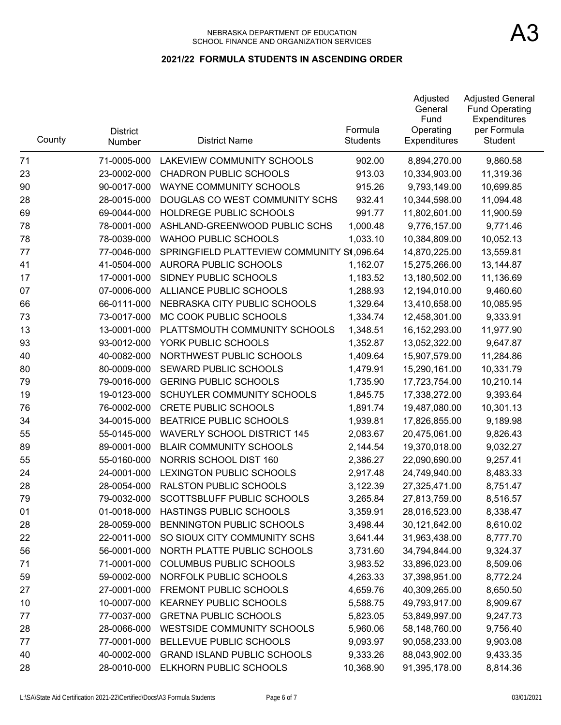| County | <b>District</b><br>Number | <b>District Name</b>                       | Formula<br><b>Students</b> | Adjusted<br>General<br>Fund<br>Operating<br><b>Expenditures</b> | <b>Adjusted General</b><br><b>Fund Operating</b><br>Expenditures<br>per Formula<br>Student |
|--------|---------------------------|--------------------------------------------|----------------------------|-----------------------------------------------------------------|--------------------------------------------------------------------------------------------|
| 71     | 71-0005-000               | <b>LAKEVIEW COMMUNITY SCHOOLS</b>          | 902.00                     | 8,894,270.00                                                    | 9,860.58                                                                                   |
| 23     | 23-0002-000               | <b>CHADRON PUBLIC SCHOOLS</b>              | 913.03                     | 10,334,903.00                                                   | 11,319.36                                                                                  |
| 90     | 90-0017-000               | <b>WAYNE COMMUNITY SCHOOLS</b>             | 915.26                     | 9,793,149.00                                                    | 10,699.85                                                                                  |
| 28     | 28-0015-000               | DOUGLAS CO WEST COMMUNITY SCHS             | 932.41                     | 10,344,598.00                                                   | 11,094.48                                                                                  |
| 69     | 69-0044-000               | HOLDREGE PUBLIC SCHOOLS                    | 991.77                     | 11,802,601.00                                                   | 11,900.59                                                                                  |
| 78     | 78-0001-000               | ASHLAND-GREENWOOD PUBLIC SCHS              | 1,000.48                   | 9,776,157.00                                                    | 9,771.46                                                                                   |
| 78     | 78-0039-000               | <b>WAHOO PUBLIC SCHOOLS</b>                | 1,033.10                   | 10,384,809.00                                                   | 10,052.13                                                                                  |
| 77     | 77-0046-000               | SPRINGFIELD PLATTEVIEW COMMUNITY S1,096.64 |                            | 14,870,225.00                                                   | 13,559.81                                                                                  |
| 41     | 41-0504-000               | AURORA PUBLIC SCHOOLS                      | 1,162.07                   | 15,275,266.00                                                   | 13,144.87                                                                                  |
| 17     | 17-0001-000               | SIDNEY PUBLIC SCHOOLS                      | 1,183.52                   | 13,180,502.00                                                   | 11,136.69                                                                                  |
| 07     | 07-0006-000               | ALLIANCE PUBLIC SCHOOLS                    | 1,288.93                   | 12,194,010.00                                                   | 9,460.60                                                                                   |
| 66     | 66-0111-000               | NEBRASKA CITY PUBLIC SCHOOLS               | 1,329.64                   | 13,410,658.00                                                   | 10,085.95                                                                                  |
| 73     | 73-0017-000               | MC COOK PUBLIC SCHOOLS                     | 1,334.74                   | 12,458,301.00                                                   | 9,333.91                                                                                   |
| 13     | 13-0001-000               | PLATTSMOUTH COMMUNITY SCHOOLS              | 1,348.51                   | 16,152,293.00                                                   | 11,977.90                                                                                  |
| 93     | 93-0012-000               | YORK PUBLIC SCHOOLS                        | 1,352.87                   | 13,052,322.00                                                   | 9,647.87                                                                                   |
| 40     | 40-0082-000               | NORTHWEST PUBLIC SCHOOLS                   | 1,409.64                   | 15,907,579.00                                                   | 11,284.86                                                                                  |
| 80     | 80-0009-000               | SEWARD PUBLIC SCHOOLS                      | 1,479.91                   | 15,290,161.00                                                   | 10,331.79                                                                                  |
| 79     | 79-0016-000               | <b>GERING PUBLIC SCHOOLS</b>               | 1,735.90                   | 17,723,754.00                                                   | 10,210.14                                                                                  |
| 19     | 19-0123-000               | SCHUYLER COMMUNITY SCHOOLS                 | 1,845.75                   | 17,338,272.00                                                   | 9,393.64                                                                                   |
| 76     | 76-0002-000               | <b>CRETE PUBLIC SCHOOLS</b>                | 1,891.74                   | 19,487,080.00                                                   | 10,301.13                                                                                  |
| 34     | 34-0015-000               | <b>BEATRICE PUBLIC SCHOOLS</b>             | 1,939.81                   | 17,826,855.00                                                   | 9,189.98                                                                                   |
| 55     | 55-0145-000               | <b>WAVERLY SCHOOL DISTRICT 145</b>         | 2,083.67                   | 20,475,061.00                                                   | 9,826.43                                                                                   |
| 89     | 89-0001-000               | <b>BLAIR COMMUNITY SCHOOLS</b>             | 2,144.54                   | 19,370,018.00                                                   | 9,032.27                                                                                   |
| 55     | 55-0160-000               | NORRIS SCHOOL DIST 160                     | 2,386.27                   | 22,090,690.00                                                   | 9,257.41                                                                                   |
| 24     | 24-0001-000               | LEXINGTON PUBLIC SCHOOLS                   | 2,917.48                   | 24,749,940.00                                                   | 8,483.33                                                                                   |
| 28     | 28-0054-000               | <b>RALSTON PUBLIC SCHOOLS</b>              | 3,122.39                   | 27,325,471.00                                                   | 8,751.47                                                                                   |
| 79     | 79-0032-000               | <b>SCOTTSBLUFF PUBLIC SCHOOLS</b>          | 3,265.84                   | 27,813,759.00                                                   | 8,516.57                                                                                   |
| 01     | 01-0018-000               | HASTINGS PUBLIC SCHOOLS                    | 3,359.91                   | 28,016,523.00                                                   | 8,338.47                                                                                   |
| 28     | 28-0059-000               | BENNINGTON PUBLIC SCHOOLS                  | 3,498.44                   | 30,121,642.00                                                   | 8,610.02                                                                                   |
| 22     | 22-0011-000               | SO SIOUX CITY COMMUNITY SCHS               | 3,641.44                   | 31,963,438.00                                                   | 8,777.70                                                                                   |
| 56     | 56-0001-000               | NORTH PLATTE PUBLIC SCHOOLS                | 3,731.60                   | 34,794,844.00                                                   | 9,324.37                                                                                   |
| 71     | 71-0001-000               | <b>COLUMBUS PUBLIC SCHOOLS</b>             | 3,983.52                   | 33,896,023.00                                                   | 8,509.06                                                                                   |
| 59     | 59-0002-000               | NORFOLK PUBLIC SCHOOLS                     | 4,263.33                   | 37,398,951.00                                                   | 8,772.24                                                                                   |
| 27     | 27-0001-000               | FREMONT PUBLIC SCHOOLS                     | 4,659.76                   | 40,309,265.00                                                   | 8,650.50                                                                                   |
| 10     | 10-0007-000               | <b>KEARNEY PUBLIC SCHOOLS</b>              | 5,588.75                   | 49,793,917.00                                                   | 8,909.67                                                                                   |
| 77     | 77-0037-000               | <b>GRETNA PUBLIC SCHOOLS</b>               | 5,823.05                   | 53,849,997.00                                                   | 9,247.73                                                                                   |
| 28     | 28-0066-000               | <b>WESTSIDE COMMUNITY SCHOOLS</b>          | 5,960.06                   | 58,148,760.00                                                   | 9,756.40                                                                                   |
| 77     | 77-0001-000               | BELLEVUE PUBLIC SCHOOLS                    | 9,093.97                   | 90,058,233.00                                                   | 9,903.08                                                                                   |
| 40     | 40-0002-000               | <b>GRAND ISLAND PUBLIC SCHOOLS</b>         | 9,333.26                   | 88,043,902.00                                                   | 9,433.35                                                                                   |
| 28     | 28-0010-000               | ELKHORN PUBLIC SCHOOLS                     | 10,368.90                  | 91,395,178.00                                                   | 8,814.36                                                                                   |